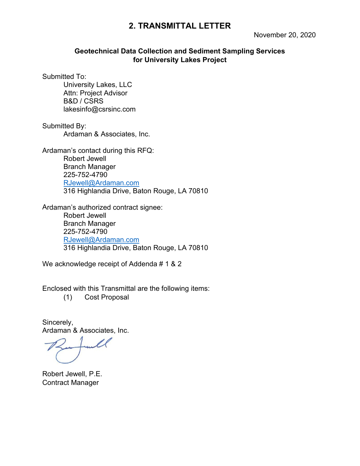# **2. TRANSMITTAL LETTER**

## **Geotechnical Data Collection and Sediment Sampling Services for University Lakes Project**

Submitted To:

University Lakes, LLC Attn: Project Advisor B&D / CSRS lakesinfo@csrsinc.com

Submitted By: Ardaman & Associates, Inc.

Ardaman's contact during this RFQ: Robert Jewell Branch Manager 225-752-4790 [RJewell@Ardaman.com](mailto:RJewell@Ardaman.com) 316 Highlandia Drive, Baton Rouge, LA 70810

Ardaman's authorized contract signee: Robert Jewell Branch Manager 225-752-4790 [RJewell@Ardaman.com](mailto:RJewell@Ardaman.com) 316 Highlandia Drive, Baton Rouge, LA 70810

We acknowledge receipt of Addenda # 1 & 2

Enclosed with this Transmittal are the following items:

(1) Cost Proposal

Sincerely, Ardaman & Associates, Inc.

Robert Jewell, P.E. Contract Manager